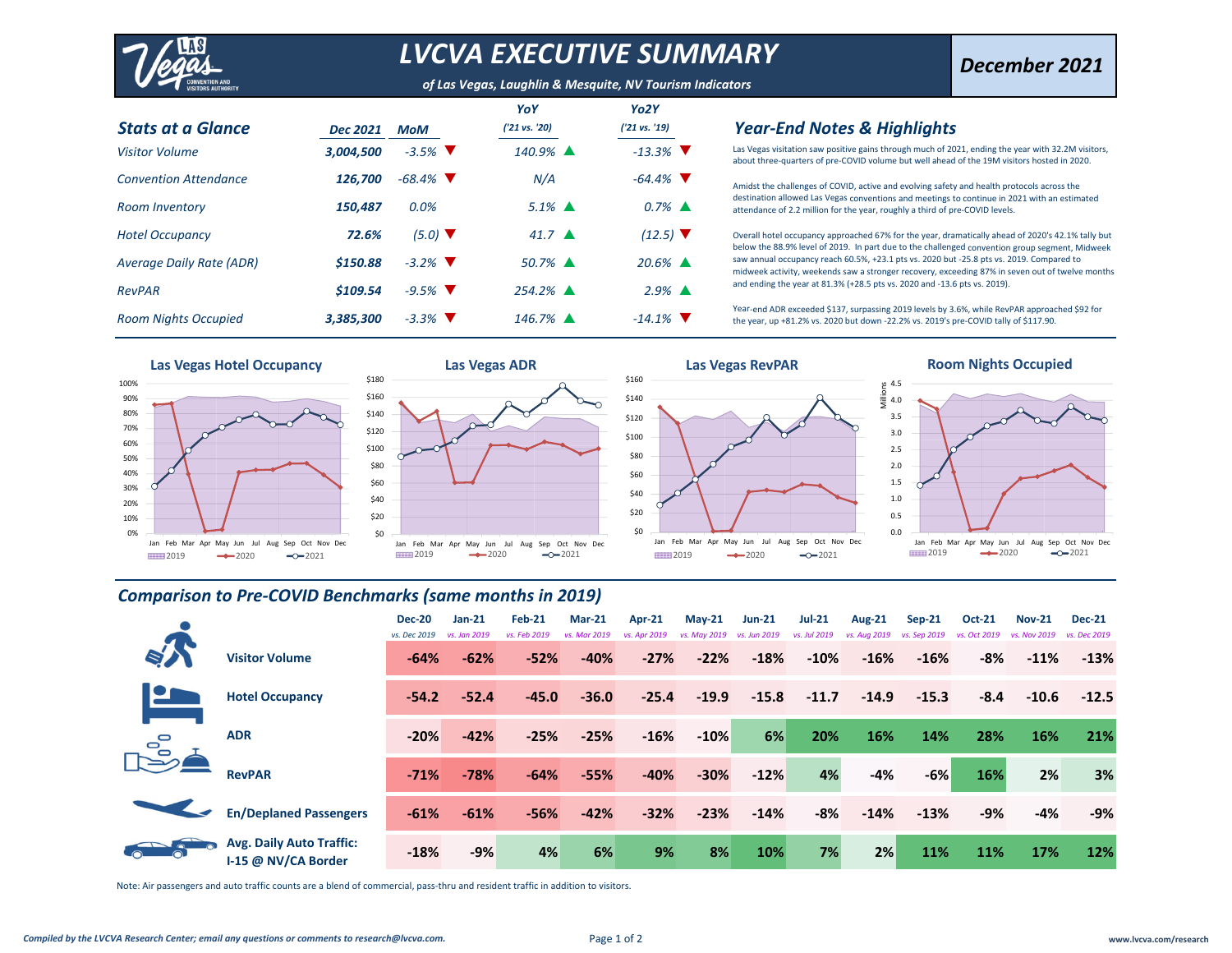

## *LVCVA EXECUTIVE SUMMARY*

*of Las Vegas, Laughlin & Mesquite, NV Tourism Indicators*

| <b>Stats at a Glance</b>     | <b>Dec 2021</b> | <b>MoM</b>                   | YoY<br>('21 vs. '20)  | Yo <sub>2</sub> Y<br>('21 vs. '19) |
|------------------------------|-----------------|------------------------------|-----------------------|------------------------------------|
| <b>Visitor Volume</b>        | 3,004,500       | $-3.5\%$                     | 140.9% ▲              | $-13.3\%$                          |
| <b>Convention Attendance</b> | 126.700         | $-68.4\%$                    | N/A                   | $-64.4\%$                          |
| <b>Room Inventory</b>        | 150,487         | 0.0%                         | $5.1\%$ $\triangle$   | $0.7\%$ $\triangle$                |
| <b>Hotel Occupancy</b>       | 72.6%           | $(5.0)$ $\blacktriangledown$ | $41.7 \triangle$      | $(12.5)$ $\sqrt{ }$                |
| Average Daily Rate (ADR)     | \$150.88        | $-3.2\%$ V                   | $50.7\%$ $\triangle$  | $20.6\%$ $\triangle$               |
| <b>RevPAR</b>                | \$109.54        | $-9.5\%$                     | $254.2\%$ $\triangle$ | $2.9\%$ $\triangle$                |
| <b>Room Nights Occupied</b>  | 3,385,300       | $-3.3\%$ V                   | $146.7\%$ $\triangle$ | $-14.1\%$                          |

#### *Year‐End Notes & Highlights*

Las Vegas visitation saw positive gains through much of 2021, ending the year with 32.2M visitors, about three‐quarters of pre‐COVID volume but well ahead of the 19M visitors hosted in 2020.

Amidst the challenges of COVID, active and evolving safety and health protocols across the destination allowed Las Vegas conventions and meetings to continue in 2021 with an estimated attendance of 2.2 million for the year, roughly <sup>a</sup> third of pre‐COVID levels.

Overall hotel occupancy approached 67% for the year, dramatically ahead of 2020's 42.1% tally but below the 88.9% level of 2019. In part due to the challenged convention group segment, Midweek saw annual occupancy reach 60.5%, +23.1 pts vs. 2020 but ‐25.8 pts vs. 2019. Compared to midweek activity, weekends saw <sup>a</sup> stronger recovery, exceeding 87% in seven out of twelve months and ending the year at 81.3% (+28.5 pts vs. 2020 and ‐13.6 pts vs. 2019).

Year‐end ADR exceeded \$137, surpassing 2019 levels by 3.6%, while RevPAR approached \$92 for the year, up +81.2% vs. 2020 but down ‐22.2% vs. 2019's pre‐COVID tally of \$117.90.









**Room Nights Occupied**



#### *Comparison to Pre‐COVID Benchmarks (same months in 2019)*

|   |                                                        | <b>Dec-20</b><br>vs. Dec 2019 | $Jan-21$<br>vs. Jan 2019 | Feb-21<br>vs. Feb 2019 | <b>Mar-21</b><br>vs. Mar 2019 | $Apr-21$<br>vs. Apr 2019 | $May-21$<br>vs. May 2019 vs. Jun 2019 | $Jun-21$ | <b>Jul-21</b><br>vs. Jul 2019 | <b>Aug-21</b><br>vs. Aug 2019 | $Sep-21$<br>vs. Sep 2019 | <b>Oct-21</b><br>vs. Oct 2019 | <b>Nov-21</b><br>vs. Nov 2019 | <b>Dec-21</b><br>vs. Dec 2019 |
|---|--------------------------------------------------------|-------------------------------|--------------------------|------------------------|-------------------------------|--------------------------|---------------------------------------|----------|-------------------------------|-------------------------------|--------------------------|-------------------------------|-------------------------------|-------------------------------|
|   | <b>Visitor Volume</b>                                  | $-64%$                        | $-62%$                   | $-52%$                 | $-40%$                        | $-27%$                   | $-22%$                                | $-18%$   | $-10%$                        | $-16%$                        | $-16%$                   | -8%                           | $-11\%$                       | $-13%$                        |
|   | <b>Hotel Occupancy</b>                                 | $-54.2$                       | $-52.4$                  | $-45.0$                | $-36.0$                       | $-25.4$                  | $-19.9$                               | $-15.8$  | $-11.7$                       | $-14.9$                       | $-15.3$                  | $-8.4$                        | $-10.6$                       | $-12.5$                       |
| ᇃ | <b>ADR</b>                                             | $-20%$                        | $-42%$                   | $-25%$                 | $-25%$                        | $-16%$                   | $-10%$                                | 6%       | 20%                           | 16%                           | 14%                      | 28%                           | 16%                           | 21%                           |
|   | <b>RevPAR</b>                                          | $-71%$                        | $-78%$                   | $-64%$                 | $-55%$                        | $-40%$                   | $-30%$                                | $-12%$   | 4%                            | $-4%$                         | $-6%$                    | 16%                           | 2%                            | 3%                            |
|   | <b>En/Deplaned Passengers</b>                          | $-61%$                        | $-61%$                   | $-56%$                 | $-42%$                        | $-32%$                   | $-23%$                                | $-14%$   | -8%                           | $-14%$                        | $-13%$                   | $-9%$                         | -4%                           | -9%                           |
|   | <b>Avg. Daily Auto Traffic:</b><br>I-15 @ NV/CA Border | $-18%$                        | $-9%$                    | 4%                     | 6%                            | 9%                       | 8%                                    | 10%      | 7%                            | 2%                            | 11%                      | 11%                           | 17%                           | 12%                           |

Note: Air passengers and auto traffic counts are <sup>a</sup> blend of commercial, pass‐thru and resident traffic in addition to visitors.